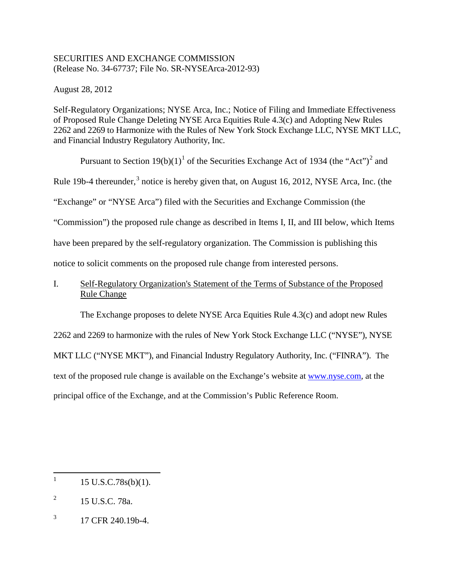## SECURITIES AND EXCHANGE COMMISSION (Release No. 34-67737; File No. SR-NYSEArca-2012-93)

August 28, 2012

Self-Regulatory Organizations; NYSE Arca, Inc.; Notice of Filing and Immediate Effectiveness of Proposed Rule Change Deleting NYSE Arca Equities Rule 4.3(c) and Adopting New Rules 2262 and 2269 to Harmonize with the Rules of New York Stock Exchange LLC, NYSE MKT LLC, and Financial Industry Regulatory Authority, Inc.

Pursuant to Section [1](#page-0-0)9(b)(1)<sup>1</sup> of the Securities Exchange Act of 1934 (the "Act")<sup>[2](#page-0-1)</sup> and

Rule 19b-4 thereunder, $3$  notice is hereby given that, on August 16, 2012, NYSE Arca, Inc. (the

"Exchange" or "NYSE Arca") filed with the Securities and Exchange Commission (the

"Commission") the proposed rule change as described in Items I, II, and III below, which Items

have been prepared by the self-regulatory organization. The Commission is publishing this

notice to solicit comments on the proposed rule change from interested persons.

# I. Self-Regulatory Organization's Statement of the Terms of Substance of the Proposed Rule Change

The Exchange proposes to delete NYSE Arca Equities Rule 4.3(c) and adopt new Rules

2262 and 2269 to harmonize with the rules of New York Stock Exchange LLC ("NYSE"), NYSE

MKT LLC ("NYSE MKT"), and Financial Industry Regulatory Authority, Inc. ("FINRA"). The

text of the proposed rule change is available on the Exchange's website at www.nyse.com, at the

principal office of the Exchange, and at the Commission's Public Reference Room.

<span id="page-0-2"></span> $^{3}$  17 CFR 240.19b-4.

<span id="page-0-0"></span> $1 \quad 15 \text{ U.S.C.78s(b)(1)}.$ 

<span id="page-0-1"></span><sup>&</sup>lt;sup>2</sup> 15 U.S.C. 78a.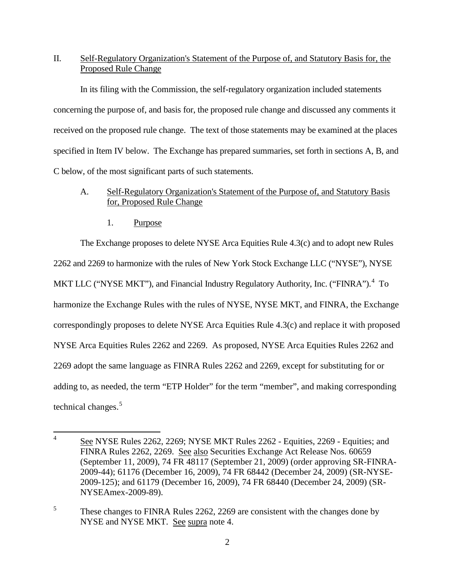# II. Self-Regulatory Organization's Statement of the Purpose of, and Statutory Basis for, the Proposed Rule Change

In its filing with the Commission, the self-regulatory organization included statements concerning the purpose of, and basis for, the proposed rule change and discussed any comments it received on the proposed rule change. The text of those statements may be examined at the places specified in Item IV below. The Exchange has prepared summaries, set forth in sections A, B, and C below, of the most significant parts of such statements.

## A. Self-Regulatory Organization's Statement of the Purpose of, and Statutory Basis for, Proposed Rule Change

1. Purpose

The Exchange proposes to delete NYSE Arca Equities Rule 4.3(c) and to adopt new Rules 2262 and 2269 to harmonize with the rules of New York Stock Exchange LLC ("NYSE"), NYSE MKT LLC ("NYSE MKT"), and Financial Industry Regulatory Authority, Inc. ("FINRA").<sup>[4](#page-1-0)</sup> To harmonize the Exchange Rules with the rules of NYSE, NYSE MKT, and FINRA, the Exchange correspondingly proposes to delete NYSE Arca Equities Rule 4.3(c) and replace it with proposed NYSE Arca Equities Rules 2262 and 2269. As proposed, NYSE Arca Equities Rules 2262 and 2269 adopt the same language as FINRA Rules 2262 and 2269, except for substituting for or adding to, as needed, the term "ETP Holder" for the term "member", and making corresponding technical changes.<sup>[5](#page-1-1)</sup>

<span id="page-1-0"></span><sup>&</sup>lt;sup>4</sup> See NYSE Rules 2262, 2269; NYSE MKT Rules 2262 - Equities, 2269 - Equities; and FINRA Rules 2262, 2269. See also Securities Exchange Act Release Nos. 60659 (September 11, 2009), 74 FR 48117 (September 21, 2009) (order approving SR-FINRA-2009-44); 61176 (December 16, 2009), 74 FR 68442 (December 24, 2009) (SR-NYSE-2009-125); and 61179 (December 16, 2009), 74 FR 68440 (December 24, 2009) (SR-NYSEAmex-2009-89).

<span id="page-1-1"></span> $5$  These changes to FINRA Rules 2262, 2269 are consistent with the changes done by NYSE and NYSE MKT. See supra note 4.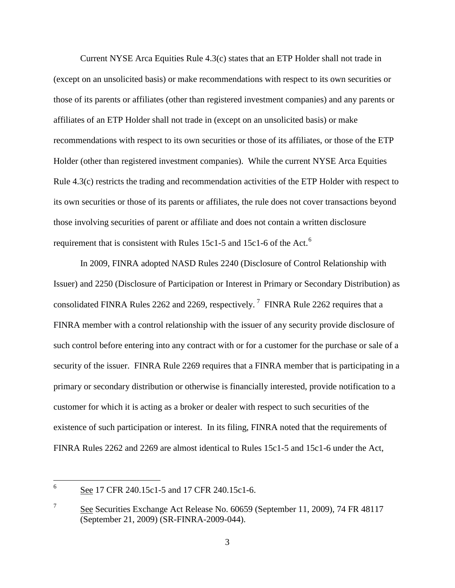Current NYSE Arca Equities Rule 4.3(c) states that an ETP Holder shall not trade in (except on an unsolicited basis) or make recommendations with respect to its own securities or those of its parents or affiliates (other than registered investment companies) and any parents or affiliates of an ETP Holder shall not trade in (except on an unsolicited basis) or make recommendations with respect to its own securities or those of its affiliates, or those of the ETP Holder (other than registered investment companies). While the current NYSE Arca Equities Rule 4.3(c) restricts the trading and recommendation activities of the ETP Holder with respect to its own securities or those of its parents or affiliates, the rule does not cover transactions beyond those involving securities of parent or affiliate and does not contain a written disclosure requirement that is consistent with Rules 15c1-5 and 15c1-[6](#page-2-0) of the Act.<sup>6</sup>

In 2009, FINRA adopted NASD Rules 2240 (Disclosure of Control Relationship with Issuer) and 2250 (Disclosure of Participation or Interest in Primary or Secondary Distribution) as consolidated FINRA Rules 2262 and 2269, respectively.<sup>[7](#page-2-1)</sup> FINRA Rule 2262 requires that a FINRA member with a control relationship with the issuer of any security provide disclosure of such control before entering into any contract with or for a customer for the purchase or sale of a security of the issuer. FINRA Rule 2269 requires that a FINRA member that is participating in a primary or secondary distribution or otherwise is financially interested, provide notification to a customer for which it is acting as a broker or dealer with respect to such securities of the existence of such participation or interest. In its filing, FINRA noted that the requirements of FINRA Rules 2262 and 2269 are almost identical to Rules 15c1-5 and 15c1-6 under the Act,

<span id="page-2-0"></span><sup>&</sup>lt;sup>6</sup> See 17 CFR 240.15c1-5 and 17 CFR 240.15c1-6.

<span id="page-2-1"></span><sup>&</sup>lt;sup>7</sup> See Securities Exchange Act Release No. 60659 (September 11, 2009), 74 FR 48117 (September 21, 2009) (SR-FINRA-2009-044).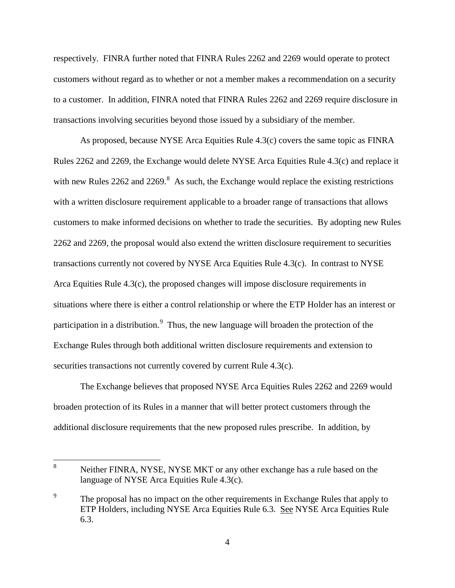respectively. FINRA further noted that FINRA Rules 2262 and 2269 would operate to protect customers without regard as to whether or not a member makes a recommendation on a security to a customer. In addition, FINRA noted that FINRA Rules 2262 and 2269 require disclosure in transactions involving securities beyond those issued by a subsidiary of the member.

As proposed, because NYSE Arca Equities Rule 4.3(c) covers the same topic as FINRA Rules 2262 and 2269, the Exchange would delete NYSE Arca Equities Rule 4.3(c) and replace it with new Rules  $2262$  and  $2269$ .<sup>[8](#page-3-0)</sup> As such, the Exchange would replace the existing restrictions with a written disclosure requirement applicable to a broader range of transactions that allows customers to make informed decisions on whether to trade the securities. By adopting new Rules 2262 and 2269, the proposal would also extend the written disclosure requirement to securities transactions currently not covered by NYSE Arca Equities Rule 4.3(c). In contrast to NYSE Arca Equities Rule 4.3(c), the proposed changes will impose disclosure requirements in situations where there is either a control relationship or where the ETP Holder has an interest or participation in a distribution.<sup>[9](#page-3-1)</sup> Thus, the new language will broaden the protection of the Exchange Rules through both additional written disclosure requirements and extension to securities transactions not currently covered by current Rule 4.3(c).

The Exchange believes that proposed NYSE Arca Equities Rules 2262 and 2269 would broaden protection of its Rules in a manner that will better protect customers through the additional disclosure requirements that the new proposed rules prescribe. In addition, by

<span id="page-3-0"></span><sup>8</sup> Neither FINRA, NYSE, NYSE MKT or any other exchange has a rule based on the language of NYSE Arca Equities Rule 4.3(c).

<span id="page-3-1"></span><sup>&</sup>lt;sup>9</sup> The proposal has no impact on the other requirements in Exchange Rules that apply to ETP Holders, including NYSE Arca Equities Rule 6.3. See NYSE Arca Equities Rule 6.3.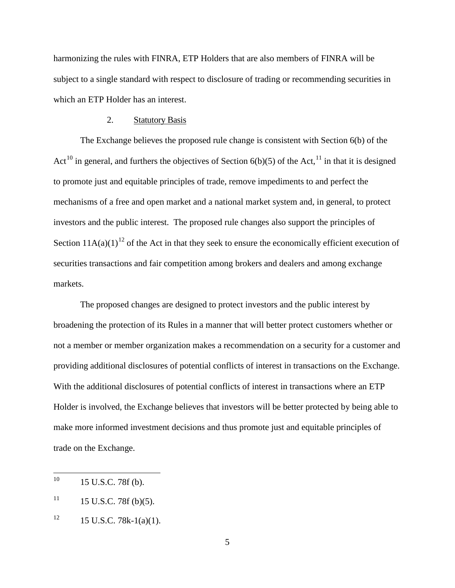harmonizing the rules with FINRA, ETP Holders that are also members of FINRA will be subject to a single standard with respect to disclosure of trading or recommending securities in which an ETP Holder has an interest.

#### 2. Statutory Basis

The Exchange believes the proposed rule change is consistent with Section 6(b) of the Act<sup>[10](#page-4-0)</sup> in general, and furthers the objectives of Section  $6(b)(5)$  of the Act,<sup>[11](#page-4-1)</sup> in that it is designed to promote just and equitable principles of trade, remove impediments to and perfect the mechanisms of a free and open market and a national market system and, in general, to protect investors and the public interest. The proposed rule changes also support the principles of Section  $11A(a)(1)^{12}$  $11A(a)(1)^{12}$  $11A(a)(1)^{12}$  of the Act in that they seek to ensure the economically efficient execution of securities transactions and fair competition among brokers and dealers and among exchange markets.

The proposed changes are designed to protect investors and the public interest by broadening the protection of its Rules in a manner that will better protect customers whether or not a member or member organization makes a recommendation on a security for a customer and providing additional disclosures of potential conflicts of interest in transactions on the Exchange. With the additional disclosures of potential conflicts of interest in transactions where an ETP Holder is involved, the Exchange believes that investors will be better protected by being able to make more informed investment decisions and thus promote just and equitable principles of trade on the Exchange.

<span id="page-4-0"></span> $^{10}$  15 U.S.C. 78f (b).

<span id="page-4-1"></span> $11$  15 U.S.C. 78f (b)(5).

<span id="page-4-2"></span> $12 \t15$  U.S.C. 78k-1(a)(1).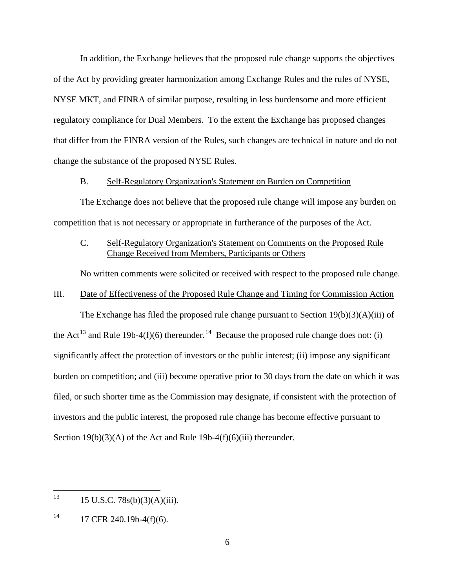In addition, the Exchange believes that the proposed rule change supports the objectives of the Act by providing greater harmonization among Exchange Rules and the rules of NYSE, NYSE MKT, and FINRA of similar purpose, resulting in less burdensome and more efficient regulatory compliance for Dual Members. To the extent the Exchange has proposed changes that differ from the FINRA version of the Rules, such changes are technical in nature and do not change the substance of the proposed NYSE Rules.

#### B. Self-Regulatory Organization's Statement on Burden on Competition

The Exchange does not believe that the proposed rule change will impose any burden on competition that is not necessary or appropriate in furtherance of the purposes of the Act.

## C. Self-Regulatory Organization's Statement on Comments on the Proposed Rule Change Received from Members, Participants or Others

No written comments were solicited or received with respect to the proposed rule change.

### III. Date of Effectiveness of the Proposed Rule Change and Timing for Commission Action

The Exchange has filed the proposed rule change pursuant to Section  $19(b)(3)(A)(iii)$  of the Act<sup>[13](#page-5-0)</sup> and Rule 19b-4(f)(6) thereunder.<sup>14</sup> Because the proposed rule change does not: (i) significantly affect the protection of investors or the public interest; (ii) impose any significant burden on competition; and (iii) become operative prior to 30 days from the date on which it was filed, or such shorter time as the Commission may designate, if consistent with the protection of investors and the public interest, the proposed rule change has become effective pursuant to Section  $19(b)(3)(A)$  of the Act and Rule  $19b-4(f)(6)(iii)$  thereunder.

<span id="page-5-0"></span> $13$  15 U.S.C. 78s(b)(3)(A)(iii).

<span id="page-5-1"></span> $14$  17 CFR 240.19b-4(f)(6).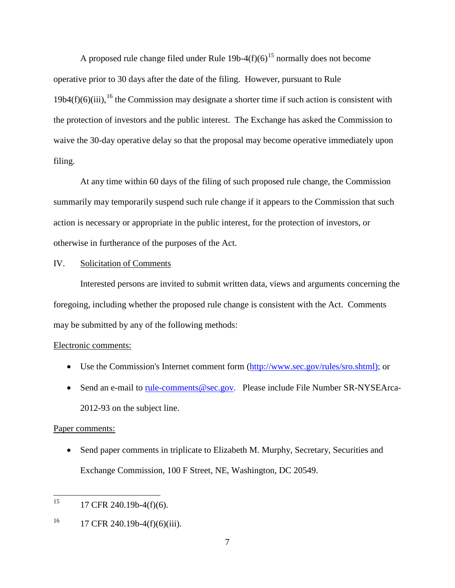A proposed rule change filed under Rule  $19b-4(f)(6)^{15}$  $19b-4(f)(6)^{15}$  $19b-4(f)(6)^{15}$  normally does not become operative prior to 30 days after the date of the filing. However, pursuant to Rule  $19b4(f)(6)(iii)$ , <sup>[16](#page-6-1)</sup> the Commission may designate a shorter time if such action is consistent with the protection of investors and the public interest. The Exchange has asked the Commission to waive the 30-day operative delay so that the proposal may become operative immediately upon filing.

At any time within 60 days of the filing of such proposed rule change, the Commission summarily may temporarily suspend such rule change if it appears to the Commission that such action is necessary or appropriate in the public interest, for the protection of investors, or otherwise in furtherance of the purposes of the Act.

### IV. Solicitation of Comments

Interested persons are invited to submit written data, views and arguments concerning the foregoing, including whether the proposed rule change is consistent with the Act. Comments may be submitted by any of the following methods:

### Electronic comments:

- Use the Commission's Internet comment form [\(http://www.sec.gov/rules/sro.shtml\)](http://www.sec.gov/rules/sro.shtml); or
- Send an e-mail to [rule-comments@sec.gov.](mailto:rule-comments@sec.gov) Please include File Number SR-NYSEArca-2012-93 on the subject line.

### Paper comments:

• Send paper comments in triplicate to Elizabeth M. Murphy, Secretary, Securities and Exchange Commission, 100 F Street, NE, Washington, DC 20549.

<span id="page-6-0"></span> $15$  17 CFR 240.19b-4(f)(6).

<span id="page-6-1"></span> $^{16}$  17 CFR 240.19b-4(f)(6)(iii).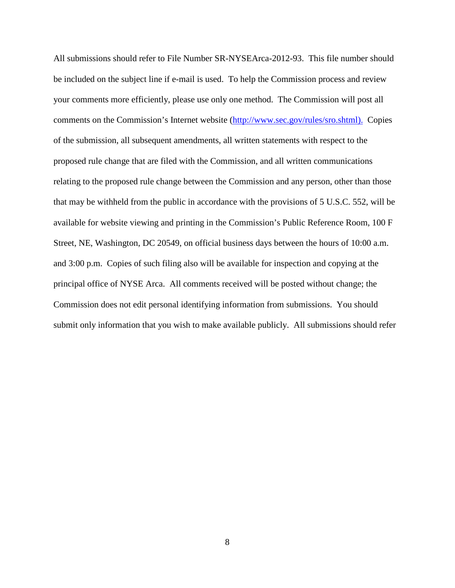All submissions should refer to File Number SR-NYSEArca-2012-93. This file number should be included on the subject line if e-mail is used. To help the Commission process and review your comments more efficiently, please use only one method. The Commission will post all comments on the Commission's Internet website (http://www.sec.gov/rules/sro.shtml). Copies of the submission, all subsequent amendments, all written statements with respect to the proposed rule change that are filed with the Commission, and all written communications relating to the proposed rule change between the Commission and any person, other than those that may be withheld from the public in accordance with the provisions of 5 U.S.C. 552, will be available for website viewing and printing in the Commission's Public Reference Room, 100 F Street, NE, Washington, DC 20549, on official business days between the hours of 10:00 a.m. and 3:00 p.m. Copies of such filing also will be available for inspection and copying at the principal office of NYSE Arca. All comments received will be posted without change; the Commission does not edit personal identifying information from submissions. You should submit only information that you wish to make available publicly. All submissions should refer